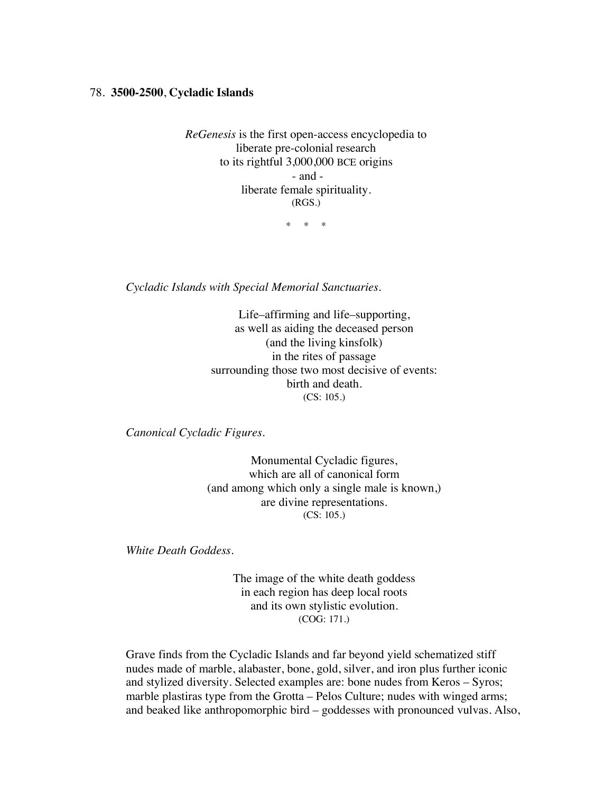## 78. **3500-2500**, **Cycladic Islands**

*ReGenesis* is the first open-access encyclopedia to liberate pre-colonial research to its rightful 3,000,000 BCE origins - and liberate female spirituality. (RGS.)

\* \* \*

*Cycladic Islands with Special Memorial Sanctuaries.*

Life–affirming and life–supporting, as well as aiding the deceased person (and the living kinsfolk) in the rites of passage surrounding those two most decisive of events: birth and death. (CS: 105.)

*Canonical Cycladic Figures.*

Monumental Cycladic figures, which are all of canonical form (and among which only a single male is known,) are divine representations. (CS: 105.)

*White Death Goddess.*

The image of the white death goddess in each region has deep local roots and its own stylistic evolution. (COG: 171.)

Grave finds from the Cycladic Islands and far beyond yield schematized stiff nudes made of marble, alabaster, bone, gold, silver, and iron plus further iconic and stylized diversity. Selected examples are: bone nudes from Keros – Syros; marble plastiras type from the Grotta – Pelos Culture; nudes with winged arms; and beaked like anthropomorphic bird – goddesses with pronounced vulvas. Also,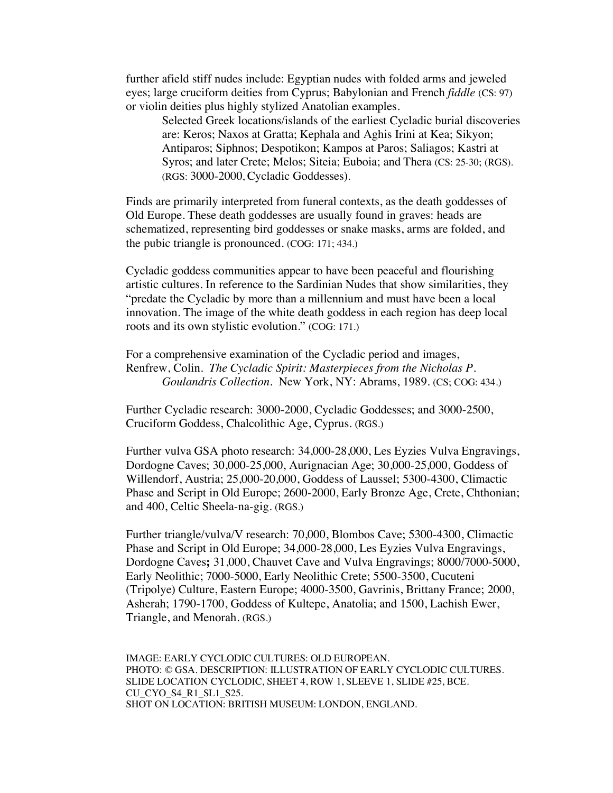further afield stiff nudes include: Egyptian nudes with folded arms and jeweled eyes; large cruciform deities from Cyprus; Babylonian and French *fiddle* (CS: 97) or violin deities plus highly stylized Anatolian examples.

Selected Greek locations/islands of the earliest Cycladic burial discoveries are: Keros; Naxos at Gratta; Kephala and Aghis Irini at Kea; Sikyon; Antiparos; Siphnos; Despotikon; Kampos at Paros; Saliagos; Kastri at Syros; and later Crete; Melos; Siteia; Euboia; and Thera (CS: 25-30; (RGS). (RGS: 3000-2000, Cycladic Goddesses).

Finds are primarily interpreted from funeral contexts, as the death goddesses of Old Europe. These death goddesses are usually found in graves: heads are schematized, representing bird goddesses or snake masks, arms are folded, and the pubic triangle is pronounced. (COG: 171; 434.)

Cycladic goddess communities appear to have been peaceful and flourishing artistic cultures. In reference to the Sardinian Nudes that show similarities, they "predate the Cycladic by more than a millennium and must have been a local innovation. The image of the white death goddess in each region has deep local roots and its own stylistic evolution." (COG: 171.)

For a comprehensive examination of the Cycladic period and images, Renfrew, Colin. *The Cycladic Spirit: Masterpieces from the Nicholas P. Goulandris Collection*. New York, NY: Abrams, 1989. (CS; COG: 434.)

Further Cycladic research: 3000-2000, Cycladic Goddesses; and 3000-2500, Cruciform Goddess, Chalcolithic Age, Cyprus. (RGS.)

Further vulva GSA photo research: 34,000-28,000, Les Eyzies Vulva Engravings, Dordogne Caves; 30,000-25,000, Aurignacian Age; 30,000-25,000, Goddess of Willendorf, Austria; 25,000-20,000, Goddess of Laussel; 5300-4300, Climactic Phase and Script in Old Europe; 2600-2000, Early Bronze Age, Crete, Chthonian; and 400, Celtic Sheela-na-gig. (RGS.)

Further triangle/vulva/V research: 70,000, Blombos Cave; 5300-4300, Climactic Phase and Script in Old Europe; 34,000-28,000, Les Eyzies Vulva Engravings, Dordogne Caves**;** 31,000, Chauvet Cave and Vulva Engravings; 8000/7000-5000, Early Neolithic; 7000-5000, Early Neolithic Crete; 5500-3500, Cucuteni (Tripolye) Culture, Eastern Europe; 4000-3500, Gavrinis, Brittany France; 2000, Asherah; 1790-1700, Goddess of Kultepe, Anatolia; and 1500, Lachish Ewer, Triangle, and Menorah. (RGS.)

IMAGE: EARLY CYCLODIC CULTURES: OLD EUROPEAN. PHOTO: © GSA. DESCRIPTION: ILLUSTRATION OF EARLY CYCLODIC CULTURES. SLIDE LOCATION CYCLODIC, SHEET 4, ROW 1, SLEEVE 1, SLIDE #25, BCE. CU\_CYO\_S4\_R1\_SL1\_S25. SHOT ON LOCATION: BRITISH MUSEUM: LONDON, ENGLAND.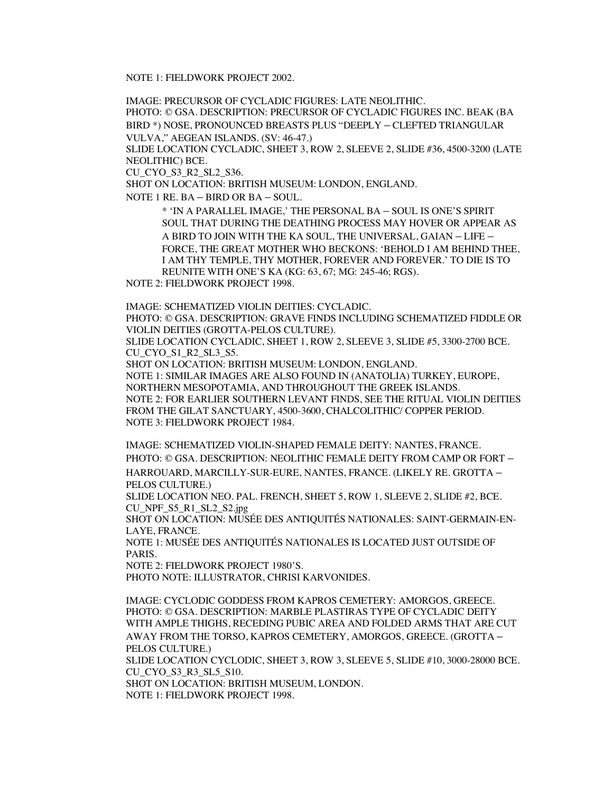NOTE 1: FIELDWORK PROJECT 2002.

IMAGE: PRECURSOR OF CYCLADIC FIGURES: LATE NEOLITHIC.

PHOTO: © GSA. DESCRIPTION: PRECURSOR OF CYCLADIC FIGURES INC. BEAK (BA BIRD \*) NOSE, PRONOUNCED BREASTS PLUS "DEEPLY – CLEFTED TRIANGULAR VULVA," AEGEAN ISLANDS. (SV: 46-47.)

SLIDE LOCATION CYCLADIC, SHEET 3, ROW 2, SLEEVE 2, SLIDE #36, 4500-3200 (LATE NEOLITHIC) BCE.

CU\_CYO\_S3\_R2\_SL2\_S36.

SHOT ON LOCATION: BRITISH MUSEUM: LONDON, ENGLAND.

NOTE 1 RE. BA – BIRD OR BA – SOUL.

\* 'IN A PARALLEL IMAGE,' THE PERSONAL BA – SOUL IS ONE'S SPIRIT SOUL THAT DURING THE DEATHING PROCESS MAY HOVER OR APPEAR AS A BIRD TO JOIN WITH THE KA SOUL, THE UNIVERSAL, GAIAN – LIFE – FORCE, THE GREAT MOTHER WHO BECKONS: 'BEHOLD I AM BEHIND THEE, I AM THY TEMPLE, THY MOTHER, FOREVER AND FOREVER.' TO DIE IS TO REUNITE WITH ONE'S KA (KG: 63, 67; MG: 245-46; RGS).

NOTE 2: FIELDWORK PROJECT 1998.

IMAGE: SCHEMATIZED VIOLIN DEITIES: CYCLADIC.

PHOTO: © GSA. DESCRIPTION: GRAVE FINDS INCLUDING SCHEMATIZED FIDDLE OR VIOLIN DEITIES (GROTTA-PELOS CULTURE).

SLIDE LOCATION CYCLADIC, SHEET 1, ROW 2, SLEEVE 3, SLIDE #5, 3300-2700 BCE. CU\_CYO\_S1\_R2\_SL3\_S5.

SHOT ON LOCATION: BRITISH MUSEUM: LONDON, ENGLAND.

NOTE 1: SIMILAR IMAGES ARE ALSO FOUND IN (ANATOLIA) TURKEY, EUROPE, NORTHERN MESOPOTAMIA, AND THROUGHOUT THE GREEK ISLANDS. NOTE 2: FOR EARLIER SOUTHERN LEVANT FINDS, SEE THE RITUAL VIOLIN DEITIES FROM THE GILAT SANCTUARY, 4500-3600, CHALCOLITHIC/ COPPER PERIOD. NOTE 3: FIELDWORK PROJECT 1984.

IMAGE: SCHEMATIZED VIOLIN-SHAPED FEMALE DEITY: NANTES, FRANCE. PHOTO: © GSA. DESCRIPTION: NEOLITHIC FEMALE DEITY FROM CAMP OR FORT – HARROUARD, MARCILLY-SUR-EURE, NANTES, FRANCE. (LIKELY RE. GROTTA – PELOS CULTURE.)

SLIDE LOCATION NEO. PAL. FRENCH, SHEET 5, ROW 1, SLEEVE 2, SLIDE #2, BCE. CU\_NPF\_S5\_R1\_SL2\_S2.jpg

SHOT ON LOCATION: MUSÉE DES ANTIQUITÉS NATIONALES: SAINT-GERMAIN-EN-LAYE, FRANCE.

NOTE 1: MUSÉE DES ANTIQUITÉS NATIONALES IS LOCATED JUST OUTSIDE OF PARIS.

NOTE 2: FIELDWORK PROJECT 1980'S.

PHOTO NOTE: ILLUSTRATOR, CHRISI KARVONIDES.

IMAGE: CYCLODIC GODDESS FROM KAPROS CEMETERY: AMORGOS, GREECE. PHOTO: © GSA. DESCRIPTION: MARBLE PLASTIRAS TYPE OF CYCLADIC DEITY WITH AMPLE THIGHS, RECEDING PUBIC AREA AND FOLDED ARMS THAT ARE CUT AWAY FROM THE TORSO, KAPROS CEMETERY, AMORGOS, GREECE. (GROTTA – PELOS CULTURE.)

SLIDE LOCATION CYCLODIC, SHEET 3, ROW 3, SLEEVE 5, SLIDE #10, 3000-28000 BCE. CU\_CYO\_S3\_R3\_SL5\_S10.

SHOT ON LOCATION: BRITISH MUSEUM, LONDON.

NOTE 1: FIELDWORK PROJECT 1998.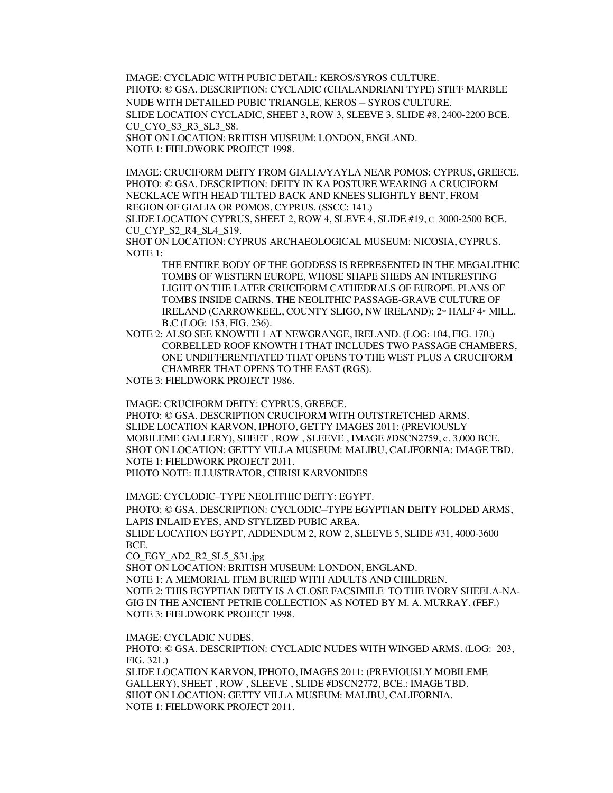IMAGE: CYCLADIC WITH PUBIC DETAIL: KEROS/SYROS CULTURE. PHOTO: © GSA. DESCRIPTION: CYCLADIC (CHALANDRIANI TYPE) STIFF MARBLE NUDE WITH DETAILED PUBIC TRIANGLE, KEROS – SYROS CULTURE. SLIDE LOCATION CYCLADIC, SHEET 3, ROW 3, SLEEVE 3, SLIDE #8, 2400-2200 BCE. CU\_CYO\_S3\_R3\_SL3\_S8. SHOT ON LOCATION: BRITISH MUSEUM: LONDON, ENGLAND.

NOTE 1: FIELDWORK PROJECT 1998.

IMAGE: CRUCIFORM DEITY FROM GIALIA/YAYLA NEAR POMOS: CYPRUS, GREECE. PHOTO: © GSA. DESCRIPTION: DEITY IN KA POSTURE WEARING A CRUCIFORM NECKLACE WITH HEAD TILTED BACK AND KNEES SLIGHTLY BENT, FROM REGION OF GIALIA OR POMOS, CYPRUS. (SSCC: 141.)

SLIDE LOCATION CYPRUS, SHEET 2, ROW 4, SLEVE 4, SLIDE #19, C. 3000-2500 BCE. CU CYP S2 R4 SL4 S19.

SHOT ON LOCATION: CYPRUS ARCHAEOLOGICAL MUSEUM: NICOSIA, CYPRUS. NOTE 1:

THE ENTIRE BODY OF THE GODDESS IS REPRESENTED IN THE MEGALITHIC TOMBS OF WESTERN EUROPE, WHOSE SHAPE SHEDS AN INTERESTING LIGHT ON THE LATER CRUCIFORM CATHEDRALS OF EUROPE. PLANS OF TOMBS INSIDE CAIRNS. THE NEOLITHIC PASSAGE-GRAVE CULTURE OF IRELAND (CARROWKEEL, COUNTY SLIGO, NW IRELAND); 2<sup>nd</sup> HALF 4<sup>th</sup> MILL. B.C (LOG: 153, FIG. 236).

NOTE 2: ALSO SEE KNOWTH 1 AT NEWGRANGE, IRELAND. (LOG: 104, FIG. 170.) CORBELLED ROOF KNOWTH I THAT INCLUDES TWO PASSAGE CHAMBERS, ONE UNDIFFERENTIATED THAT OPENS TO THE WEST PLUS A CRUCIFORM CHAMBER THAT OPENS TO THE EAST (RGS).

NOTE 3: FIELDWORK PROJECT 1986.

IMAGE: CRUCIFORM DEITY: CYPRUS, GREECE.

PHOTO: © GSA. DESCRIPTION CRUCIFORM WITH OUTSTRETCHED ARMS. SLIDE LOCATION KARVON, IPHOTO, GETTY IMAGES 2011: (PREVIOUSLY MOBILEME GALLERY), SHEET , ROW , SLEEVE , IMAGE #DSCN2759, c. 3,000 BCE. SHOT ON LOCATION: GETTY VILLA MUSEUM: MALIBU, CALIFORNIA: IMAGE TBD. NOTE 1: FIELDWORK PROJECT 2011. PHOTO NOTE: ILLUSTRATOR, CHRISI KARVONIDES

IMAGE: CYCLODIC–TYPE NEOLITHIC DEITY: EGYPT.

PHOTO: © GSA. DESCRIPTION: CYCLODIC–TYPE EGYPTIAN DEITY FOLDED ARMS, LAPIS INLAID EYES, AND STYLIZED PUBIC AREA. SLIDE LOCATION EGYPT, ADDENDUM 2, ROW 2, SLEEVE 5, SLIDE #31, 4000-3600

BCE.

CO\_EGY\_AD2\_R2\_SL5\_S31.jpg

SHOT ON LOCATION: BRITISH MUSEUM: LONDON, ENGLAND. NOTE 1: A MEMORIAL ITEM BURIED WITH ADULTS AND CHILDREN. NOTE 2: THIS EGYPTIAN DEITY IS A CLOSE FACSIMILE TO THE IVORY SHEELA-NA-GIG IN THE ANCIENT PETRIE COLLECTION AS NOTED BY M. A. MURRAY. (FEF.) NOTE 3: FIELDWORK PROJECT 1998.

IMAGE: CYCLADIC NUDES.

PHOTO: © GSA. DESCRIPTION: CYCLADIC NUDES WITH WINGED ARMS. (LOG: 203, FIG. 321.) SLIDE LOCATION KARVON, IPHOTO, IMAGES 2011: (PREVIOUSLY MOBILEME GALLERY), SHEET , ROW , SLEEVE , SLIDE #DSCN2772, BCE.: IMAGE TBD. SHOT ON LOCATION: GETTY VILLA MUSEUM: MALIBU, CALIFORNIA. NOTE 1: FIELDWORK PROJECT 2011.